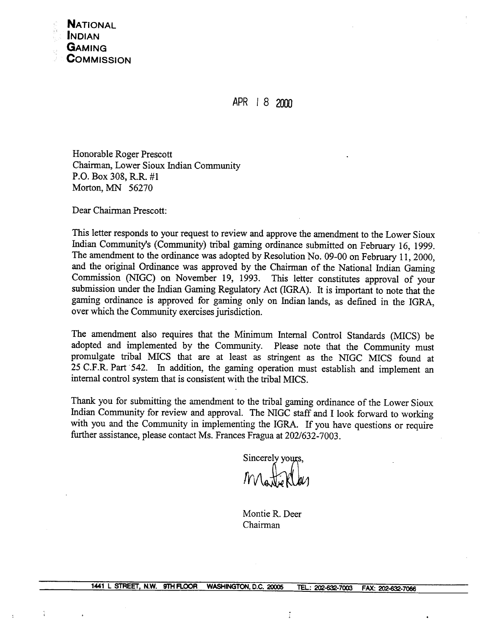

APR 1 8 2000

Honorable Roger Prescott Chairman, Lower Sioux Indian Community **P.O.** Box 308, R.R. #1 Morton, MN 56270

Dear Chairman Prescott:

This letter responds to your request to review and approve the amendment to the Lower Sioux Indian Community's (Community) tribal gaming ordinance submitted on February 16, 1999. The amendment to the ordinance was adopted by Resolution No. 09-00 on February 11,2000, and the original Ordinance was approved by the Chairman of the National Indian Gaming Commission (NIGC) on November 19, 1993. This letter constitutes approval of your submission under the Indian Gaming Regulatory Act (IGRA). It is important to note that the gaming ordinance is approved for gaming only on Indian lands, as defined in the IGRA, over which the Community exercises jurisdiction.

The amendment also requires that the Minimum Internal Control Standards (MICS) be adopted and implemented by the Community. Please note that the Community must promulgate tribal MICS that are at least as stringent as the NIGC MICS found at 25 C.F.R. Part '542. In addition, the gaming operation must establish and implement an internal control system that is consistent with the tribal MICS.

Thank you for submitting the amendment to the tribal gaming ordinance of the Lower Sioux Indian Community for review and approval. The NIGC staff and I look forward to working with you and the Community in implementing the IGRA. If you have questions or require further assistance, please contact Ms. Frances Fragua at 202/632-7003.

Sincerely yours,

Montie R. Deer Chairman

 $\vdots$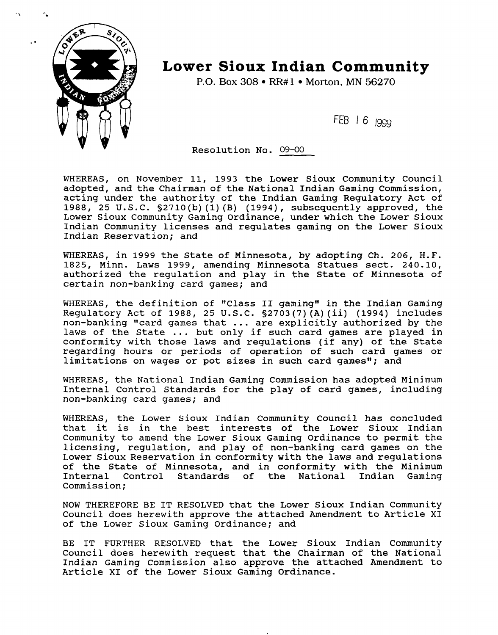

## **Lower Sioux Indian Community**

**P.O. Box 308 • RR#1 • Morton. MN 56270** 

FEB 16 1999

Resolution No. 09-00

WHEREAS, on November 11, 1993 the Lower Sioux Community Council adopted, and the Chairman of the National Indian Gaming Commission, acting under the authority of the Indian Gaming Regulatory Act of 1988, 25 U.S.C. §2710(b)(l)(B) (1994), subsequently approved, the Lower Sioux Community Gaming Ordinance, under which the Lower Sioux Indian Community licenses and regulates gaming on the Lower Sioux Indian Reservation; and

WHEREAS, in 1999 the State of Minnesota, by adopting Ch. 206, H.F. 1825, Minn. Laws 1999, amending Minnesota Statues sect. 240.10, authorized the regulation and play in the State of Minnesota of certain non-banking card games; and

WHEREAS, the definition of "Class II gaming" in the Indian Gaming Regulatory Act of 1988, 25 U.S.C. §2703(7)(A)(ii) (1994) includes non-banking "card games that ... are explicitly authorized by the laws of the State ... but only if such card games are played in conformity with those laws and regulations (if any) of the State regarding hours or periods of operation of such card games or limitations on wages or pot sizes in such card games"; and

WHEREAS, the National Indian Gaming Commission has adopted Minimum Internal Control Standards for the play of card games, including non-banking card games; and

WHEREAS, the Lower Sioux Indian Community Council has concluded that it is in the best interests of the Lower Sioux Indian Community to amend the Lower Sioux Gaming Ordinance to permit the licensing, regulation, and play of non-banking card games on the Lower Sioux Reservation in conformity with the laws and regulations of the State of Minnesota, and in conformity with the Minimum Internal Control Standards of the National Indian Gaming Commission;

NOW THEREFORE BE IT RESOLVED that the Lower Sioux Indian Community Council does herewith approve the attached Amendment to Article XI of the Lower Sioux Gaming Ordinance; and

BE IT FURTHER RESOLVED that the Lower Sioux Indian Community Council does herewith request that the Chairman of the National Indian Gaming Commission also approve the attached Amendment to Article XI of the Lower Sioux Gaming Ordinance.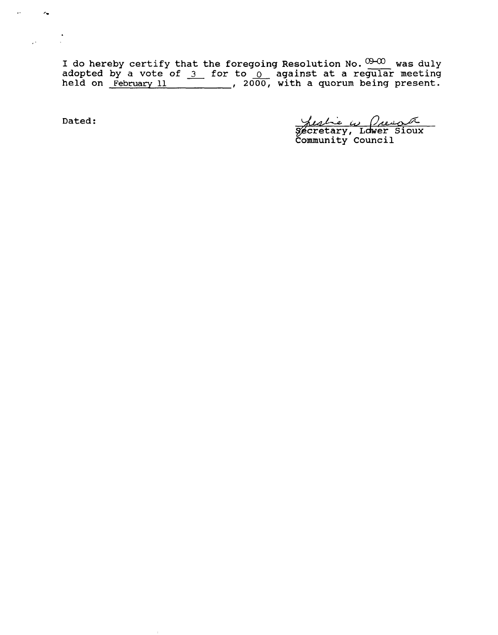I do hereby certify that the foregoing Resolution No.  $\frac{0.001}{0.0000}$  was duly **adopted by a vote of 3 for to** 0 **against at a regular meeting held on February 11** , **20- with a quorum being present.** 

 $\mathcal{A}^{\pm}$ 

 $\mathcal{L}_{\mathbf{u}}$ 

 $\mathcal{L}^{(1)}$ 

**Dated** : **ic, cretary, Ldwer Sioux** 

**Emunity council**